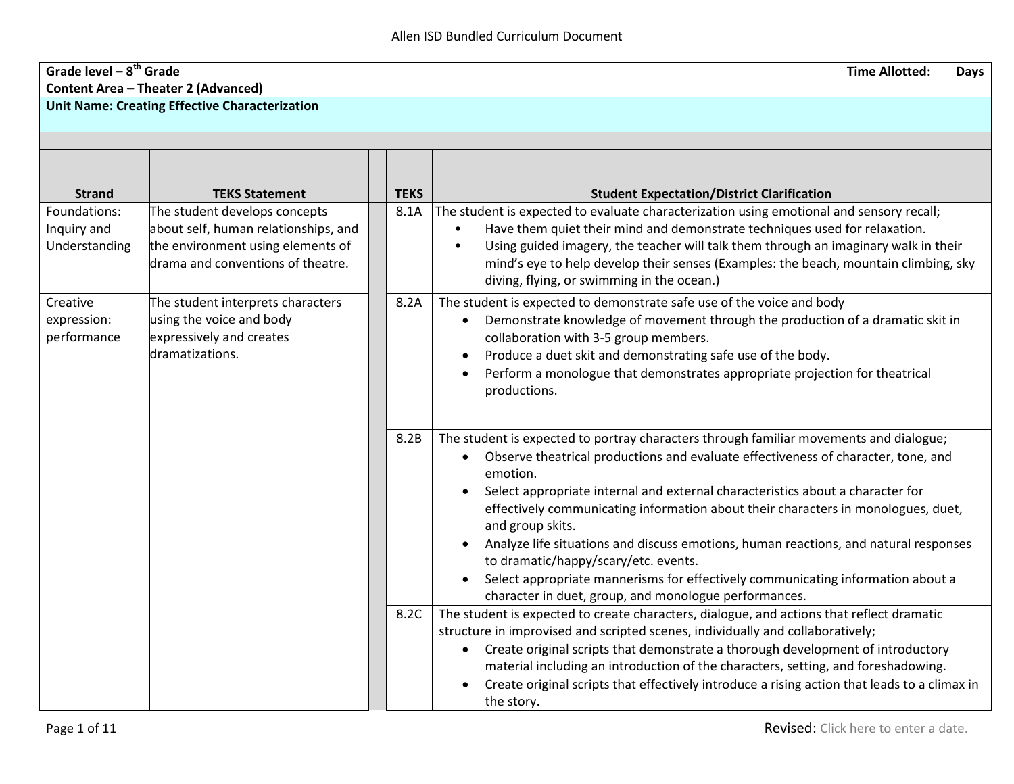## Grade level – 8<sup>th</sup> Grade **th Grade Time Allotted: Days Content Area – Theater 2 (Advanced) Unit Name: Creating Effective Characterization**

| <b>Strand</b>                                | <b>TEKS Statement</b>                                                                                                                           | <b>TEKS</b>                                                                                                                                                                                                                                                                                                                                                            | <b>Student Expectation/District Clarification</b>                                                                                                                                                                                                                                                                                                                                                                                                                                                                                                                                                                                                              |  |
|----------------------------------------------|-------------------------------------------------------------------------------------------------------------------------------------------------|------------------------------------------------------------------------------------------------------------------------------------------------------------------------------------------------------------------------------------------------------------------------------------------------------------------------------------------------------------------------|----------------------------------------------------------------------------------------------------------------------------------------------------------------------------------------------------------------------------------------------------------------------------------------------------------------------------------------------------------------------------------------------------------------------------------------------------------------------------------------------------------------------------------------------------------------------------------------------------------------------------------------------------------------|--|
| Foundations:<br>Inquiry and<br>Understanding | The student develops concepts<br>about self, human relationships, and<br>the environment using elements of<br>drama and conventions of theatre. | 8.1A                                                                                                                                                                                                                                                                                                                                                                   | The student is expected to evaluate characterization using emotional and sensory recall;<br>Have them quiet their mind and demonstrate techniques used for relaxation.<br>Using guided imagery, the teacher will talk them through an imaginary walk in their<br>mind's eye to help develop their senses (Examples: the beach, mountain climbing, sky<br>diving, flying, or swimming in the ocean.)                                                                                                                                                                                                                                                            |  |
| Creative<br>expression:<br>performance       | The student interprets characters<br>using the voice and body<br>expressively and creates<br>dramatizations.                                    | The student is expected to demonstrate safe use of the voice and body<br>8.2A<br>Demonstrate knowledge of movement through the production of a dramatic skit in<br>collaboration with 3-5 group members.<br>Produce a duet skit and demonstrating safe use of the body.<br>Perform a monologue that demonstrates appropriate projection for theatrical<br>productions. |                                                                                                                                                                                                                                                                                                                                                                                                                                                                                                                                                                                                                                                                |  |
|                                              |                                                                                                                                                 | 8.2B                                                                                                                                                                                                                                                                                                                                                                   | The student is expected to portray characters through familiar movements and dialogue;<br>Observe theatrical productions and evaluate effectiveness of character, tone, and<br>emotion.<br>Select appropriate internal and external characteristics about a character for<br>effectively communicating information about their characters in monologues, duet,<br>and group skits.<br>Analyze life situations and discuss emotions, human reactions, and natural responses<br>to dramatic/happy/scary/etc. events.<br>Select appropriate mannerisms for effectively communicating information about a<br>character in duet, group, and monologue performances. |  |
|                                              |                                                                                                                                                 | 8.2C                                                                                                                                                                                                                                                                                                                                                                   | The student is expected to create characters, dialogue, and actions that reflect dramatic<br>structure in improvised and scripted scenes, individually and collaboratively;<br>Create original scripts that demonstrate a thorough development of introductory<br>material including an introduction of the characters, setting, and foreshadowing.<br>Create original scripts that effectively introduce a rising action that leads to a climax in<br>the story.                                                                                                                                                                                              |  |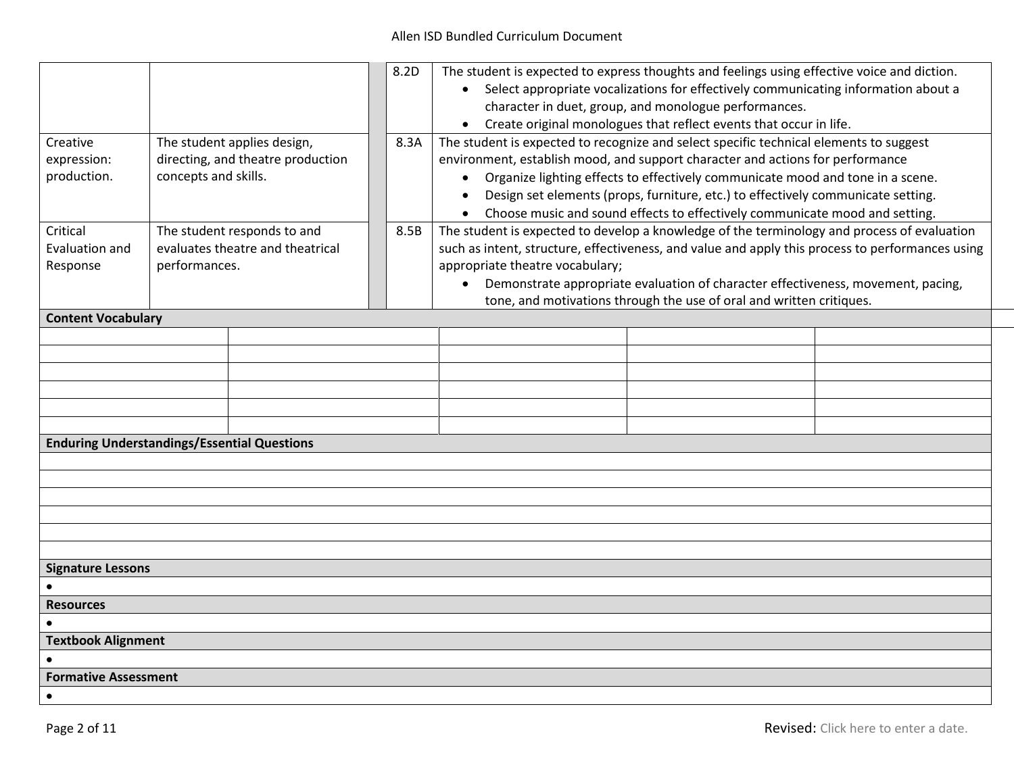# Allen ISD Bundled Curriculum Document

| Creative<br>expression:<br>production.<br>Critical | concepts and skills.                                                             | The student applies design,<br>directing, and theatre production | 8.2D | 8.3A<br>8.5B | The student is expected to recognize and select specific technical elements to suggest<br>environment, establish mood, and support character and actions for performance<br>$\bullet$<br>The student is expected to develop a knowledge of the terminology and process of evaluation            | The student is expected to express thoughts and feelings using effective voice and diction.<br>Select appropriate vocalizations for effectively communicating information about a<br>character in duet, group, and monologue performances.<br>Create original monologues that reflect events that occur in life.<br>Organize lighting effects to effectively communicate mood and tone in a scene.<br>Design set elements (props, furniture, etc.) to effectively communicate setting.<br>Choose music and sound effects to effectively communicate mood and setting. |  |  |  |  |
|----------------------------------------------------|----------------------------------------------------------------------------------|------------------------------------------------------------------|------|--------------|-------------------------------------------------------------------------------------------------------------------------------------------------------------------------------------------------------------------------------------------------------------------------------------------------|-----------------------------------------------------------------------------------------------------------------------------------------------------------------------------------------------------------------------------------------------------------------------------------------------------------------------------------------------------------------------------------------------------------------------------------------------------------------------------------------------------------------------------------------------------------------------|--|--|--|--|
| Evaluation and<br>Response                         | The student responds to and<br>evaluates theatre and theatrical<br>performances. |                                                                  |      |              | such as intent, structure, effectiveness, and value and apply this process to performances using<br>appropriate theatre vocabulary;<br>Demonstrate appropriate evaluation of character effectiveness, movement, pacing,<br>tone, and motivations through the use of oral and written critiques. |                                                                                                                                                                                                                                                                                                                                                                                                                                                                                                                                                                       |  |  |  |  |
| <b>Content Vocabulary</b>                          |                                                                                  |                                                                  |      |              |                                                                                                                                                                                                                                                                                                 |                                                                                                                                                                                                                                                                                                                                                                                                                                                                                                                                                                       |  |  |  |  |
|                                                    |                                                                                  |                                                                  |      |              |                                                                                                                                                                                                                                                                                                 |                                                                                                                                                                                                                                                                                                                                                                                                                                                                                                                                                                       |  |  |  |  |
|                                                    |                                                                                  |                                                                  |      |              |                                                                                                                                                                                                                                                                                                 |                                                                                                                                                                                                                                                                                                                                                                                                                                                                                                                                                                       |  |  |  |  |
|                                                    |                                                                                  |                                                                  |      |              |                                                                                                                                                                                                                                                                                                 |                                                                                                                                                                                                                                                                                                                                                                                                                                                                                                                                                                       |  |  |  |  |
|                                                    |                                                                                  |                                                                  |      |              |                                                                                                                                                                                                                                                                                                 |                                                                                                                                                                                                                                                                                                                                                                                                                                                                                                                                                                       |  |  |  |  |
|                                                    |                                                                                  |                                                                  |      |              |                                                                                                                                                                                                                                                                                                 |                                                                                                                                                                                                                                                                                                                                                                                                                                                                                                                                                                       |  |  |  |  |
|                                                    |                                                                                  |                                                                  |      |              |                                                                                                                                                                                                                                                                                                 |                                                                                                                                                                                                                                                                                                                                                                                                                                                                                                                                                                       |  |  |  |  |
|                                                    | <b>Enduring Understandings/Essential Questions</b>                               |                                                                  |      |              |                                                                                                                                                                                                                                                                                                 |                                                                                                                                                                                                                                                                                                                                                                                                                                                                                                                                                                       |  |  |  |  |
|                                                    |                                                                                  |                                                                  |      |              |                                                                                                                                                                                                                                                                                                 |                                                                                                                                                                                                                                                                                                                                                                                                                                                                                                                                                                       |  |  |  |  |
|                                                    |                                                                                  |                                                                  |      |              |                                                                                                                                                                                                                                                                                                 |                                                                                                                                                                                                                                                                                                                                                                                                                                                                                                                                                                       |  |  |  |  |
|                                                    |                                                                                  |                                                                  |      |              |                                                                                                                                                                                                                                                                                                 |                                                                                                                                                                                                                                                                                                                                                                                                                                                                                                                                                                       |  |  |  |  |
|                                                    |                                                                                  |                                                                  |      |              |                                                                                                                                                                                                                                                                                                 |                                                                                                                                                                                                                                                                                                                                                                                                                                                                                                                                                                       |  |  |  |  |
|                                                    |                                                                                  |                                                                  |      |              |                                                                                                                                                                                                                                                                                                 |                                                                                                                                                                                                                                                                                                                                                                                                                                                                                                                                                                       |  |  |  |  |
| <b>Signature Lessons</b>                           |                                                                                  |                                                                  |      |              |                                                                                                                                                                                                                                                                                                 |                                                                                                                                                                                                                                                                                                                                                                                                                                                                                                                                                                       |  |  |  |  |
|                                                    |                                                                                  |                                                                  |      |              |                                                                                                                                                                                                                                                                                                 |                                                                                                                                                                                                                                                                                                                                                                                                                                                                                                                                                                       |  |  |  |  |
| <b>Resources</b>                                   |                                                                                  |                                                                  |      |              |                                                                                                                                                                                                                                                                                                 |                                                                                                                                                                                                                                                                                                                                                                                                                                                                                                                                                                       |  |  |  |  |
|                                                    |                                                                                  |                                                                  |      |              |                                                                                                                                                                                                                                                                                                 |                                                                                                                                                                                                                                                                                                                                                                                                                                                                                                                                                                       |  |  |  |  |
| <b>Textbook Alignment</b>                          |                                                                                  |                                                                  |      |              |                                                                                                                                                                                                                                                                                                 |                                                                                                                                                                                                                                                                                                                                                                                                                                                                                                                                                                       |  |  |  |  |
|                                                    |                                                                                  |                                                                  |      |              |                                                                                                                                                                                                                                                                                                 |                                                                                                                                                                                                                                                                                                                                                                                                                                                                                                                                                                       |  |  |  |  |
| <b>Formative Assessment</b>                        |                                                                                  |                                                                  |      |              |                                                                                                                                                                                                                                                                                                 |                                                                                                                                                                                                                                                                                                                                                                                                                                                                                                                                                                       |  |  |  |  |
|                                                    |                                                                                  |                                                                  |      |              |                                                                                                                                                                                                                                                                                                 |                                                                                                                                                                                                                                                                                                                                                                                                                                                                                                                                                                       |  |  |  |  |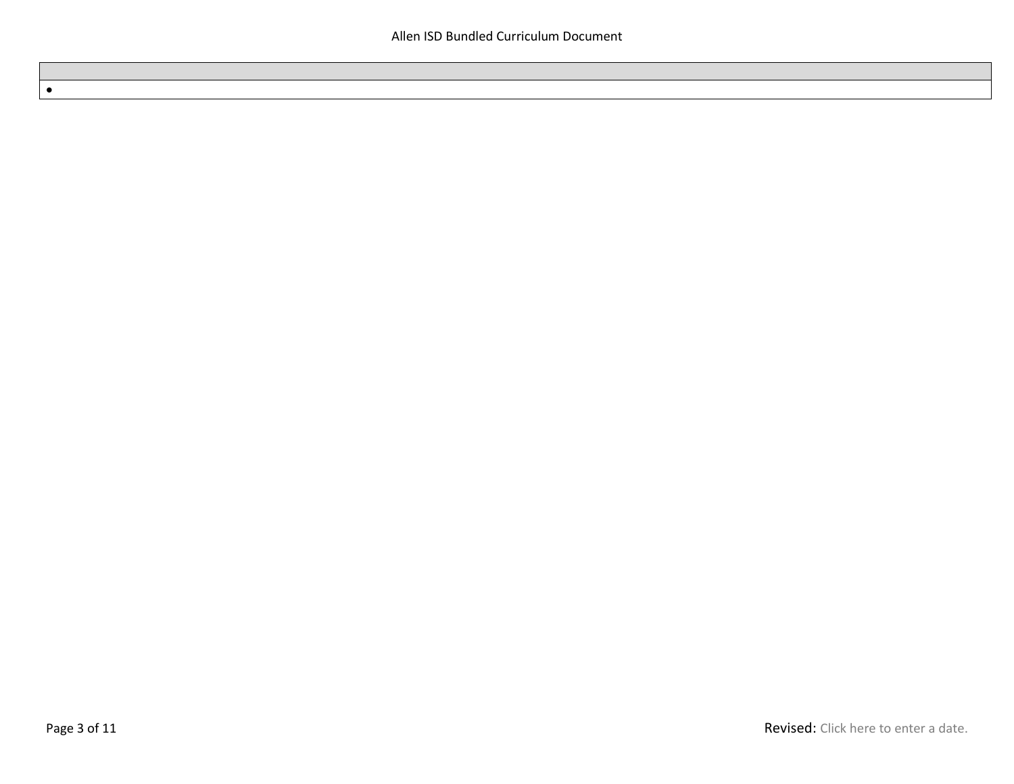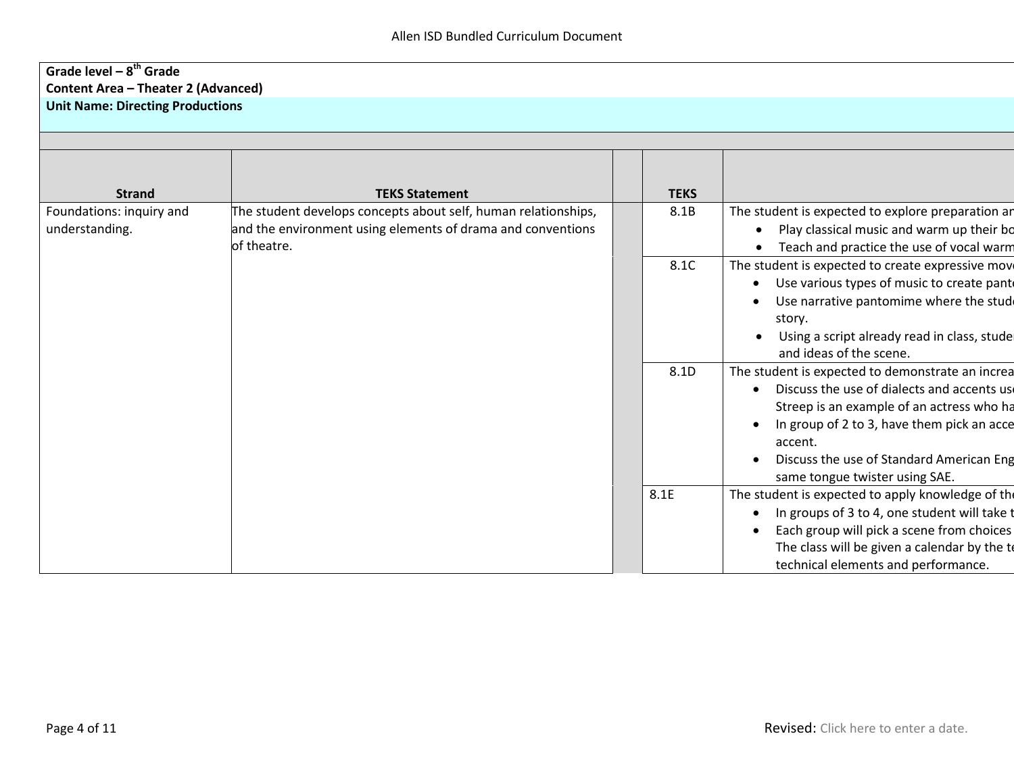## Grade level –  $8^{th}$  Grade **th Grade Time Allotted: Days Content Area – Theater 2 (Advanced) Unit Name: Directing Productions**

| <b>Strand</b>            | <b>TEKS Statement</b>                                          | <b>TEKS</b> |                                                         |
|--------------------------|----------------------------------------------------------------|-------------|---------------------------------------------------------|
| Foundations: inquiry and | The student develops concepts about self, human relationships, | 8.1B        | The student is expected to explore preparation an       |
| understanding.           | and the environment using elements of drama and conventions    |             | • Play classical music and warm up their bo             |
|                          | of theatre.                                                    |             | • Teach and practice the use of vocal warm              |
|                          |                                                                | 8.1C        | The student is expected to create expressive move       |
|                          |                                                                |             | Use various types of music to create pante              |
|                          |                                                                |             | Use narrative pantomime where the stude                 |
|                          |                                                                |             | story.                                                  |
|                          |                                                                |             | Using a script already read in class, stude             |
|                          |                                                                |             | and ideas of the scene.                                 |
|                          |                                                                | 8.1D        | The student is expected to demonstrate an increa        |
|                          |                                                                |             | Discuss the use of dialects and accents us              |
|                          |                                                                |             | Streep is an example of an actress who ha               |
|                          |                                                                |             | • In group of 2 to 3, have them pick an acce<br>accent. |
|                          |                                                                |             | Discuss the use of Standard American Eng                |
|                          |                                                                |             | same tongue twister using SAE.                          |
|                          |                                                                | 8.1E        | The student is expected to apply knowledge of the       |
|                          |                                                                |             | In groups of 3 to 4, one student will take t            |
|                          |                                                                |             | Each group will pick a scene from choices               |
|                          |                                                                |             | The class will be given a calendar by the to            |
|                          |                                                                |             | technical elements and performance.                     |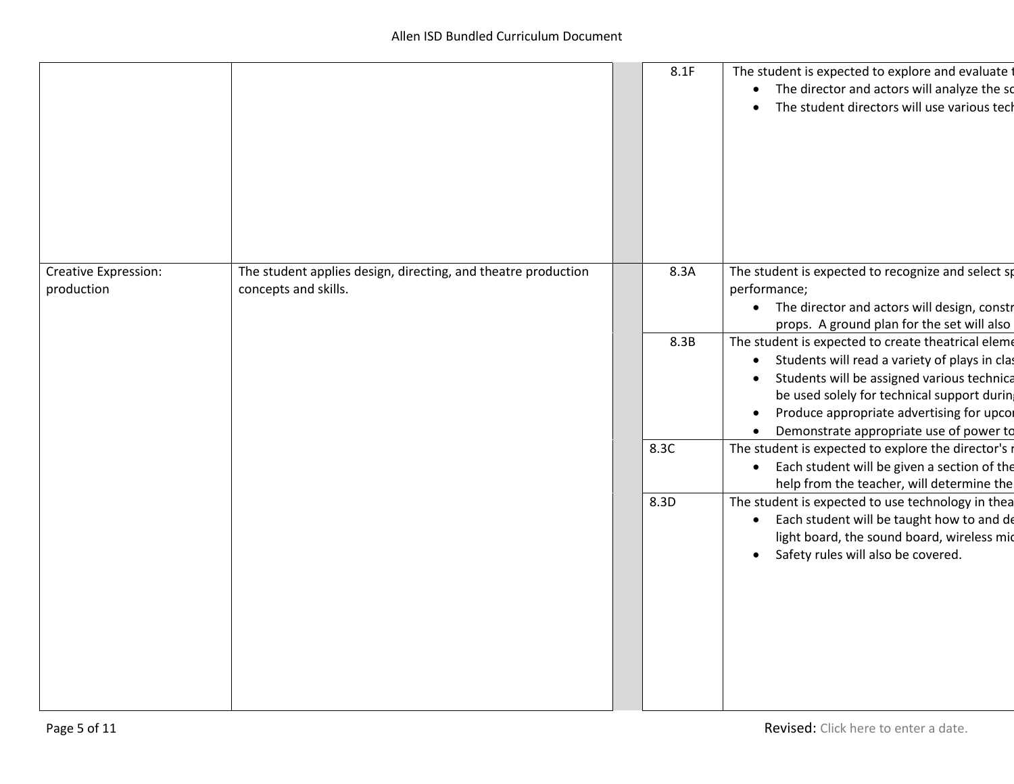|                                                                                                                             | 8.1F                         | The student is expected to explore and evaluate t<br>• The director and actors will analyze the so<br>• The student directors will use various tech                                                                                                                                                                                                                                                                                                                                                                                                                                                                                                                                                                                                                                                                  |
|-----------------------------------------------------------------------------------------------------------------------------|------------------------------|----------------------------------------------------------------------------------------------------------------------------------------------------------------------------------------------------------------------------------------------------------------------------------------------------------------------------------------------------------------------------------------------------------------------------------------------------------------------------------------------------------------------------------------------------------------------------------------------------------------------------------------------------------------------------------------------------------------------------------------------------------------------------------------------------------------------|
| Creative Expression:<br>The student applies design, directing, and theatre production<br>production<br>concepts and skills. | 8.3A<br>8.3B<br>8.3C<br>8.3D | The student is expected to recognize and select sp<br>performance;<br>• The director and actors will design, constr<br>props. A ground plan for the set will also<br>The student is expected to create theatrical eleme<br>• Students will read a variety of plays in clas<br>• Students will be assigned various technica<br>be used solely for technical support during<br>• Produce appropriate advertising for upcon<br>• Demonstrate appropriate use of power to<br>The student is expected to explore the director's r<br>• Each student will be given a section of the<br>help from the teacher, will determine the<br>The student is expected to use technology in thea<br>• Each student will be taught how to and de<br>light board, the sound board, wireless mid<br>• Safety rules will also be covered. |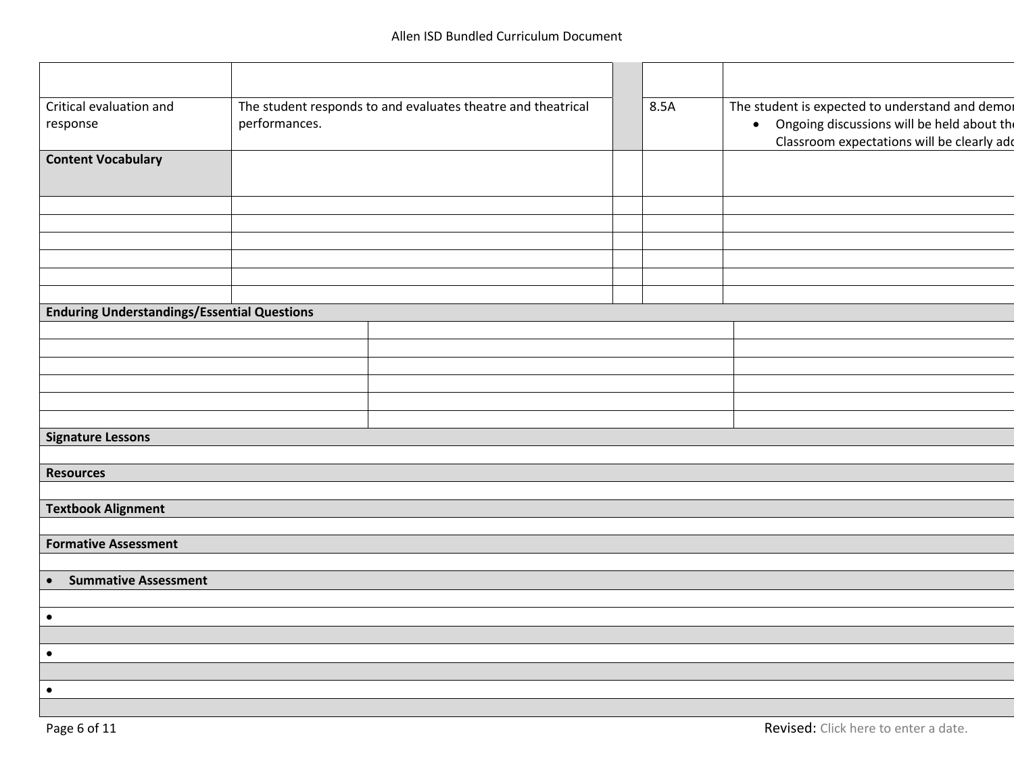| Critical evaluation and                            |               | The student responds to and evaluates theatre and theatrical | 8.5A | The student is expected to understand and demor |
|----------------------------------------------------|---------------|--------------------------------------------------------------|------|-------------------------------------------------|
| response                                           | performances. |                                                              |      | • Ongoing discussions will be held about the    |
|                                                    |               |                                                              |      | Classroom expectations will be clearly add      |
| <b>Content Vocabulary</b>                          |               |                                                              |      |                                                 |
|                                                    |               |                                                              |      |                                                 |
|                                                    |               |                                                              |      |                                                 |
|                                                    |               |                                                              |      |                                                 |
|                                                    |               |                                                              |      |                                                 |
|                                                    |               |                                                              |      |                                                 |
|                                                    |               |                                                              |      |                                                 |
| <b>Enduring Understandings/Essential Questions</b> |               |                                                              |      |                                                 |
|                                                    |               |                                                              |      |                                                 |
|                                                    |               |                                                              |      |                                                 |
|                                                    |               |                                                              |      |                                                 |
|                                                    |               |                                                              |      |                                                 |
|                                                    |               |                                                              |      |                                                 |
| Signature Lessons                                  |               |                                                              |      |                                                 |
| Resources                                          |               |                                                              |      |                                                 |
|                                                    |               |                                                              |      |                                                 |
| <b>Textbook Alignment</b>                          |               |                                                              |      |                                                 |
|                                                    |               |                                                              |      |                                                 |
| <b>Formative Assessment</b>                        |               |                                                              |      |                                                 |
| • Summative Assessment                             |               |                                                              |      |                                                 |
|                                                    |               |                                                              |      |                                                 |
| $\bullet$                                          |               |                                                              |      |                                                 |
|                                                    |               |                                                              |      |                                                 |
| $\bullet$                                          |               |                                                              |      |                                                 |
|                                                    |               |                                                              |      |                                                 |
| $\bullet$                                          |               |                                                              |      |                                                 |
|                                                    |               |                                                              |      |                                                 |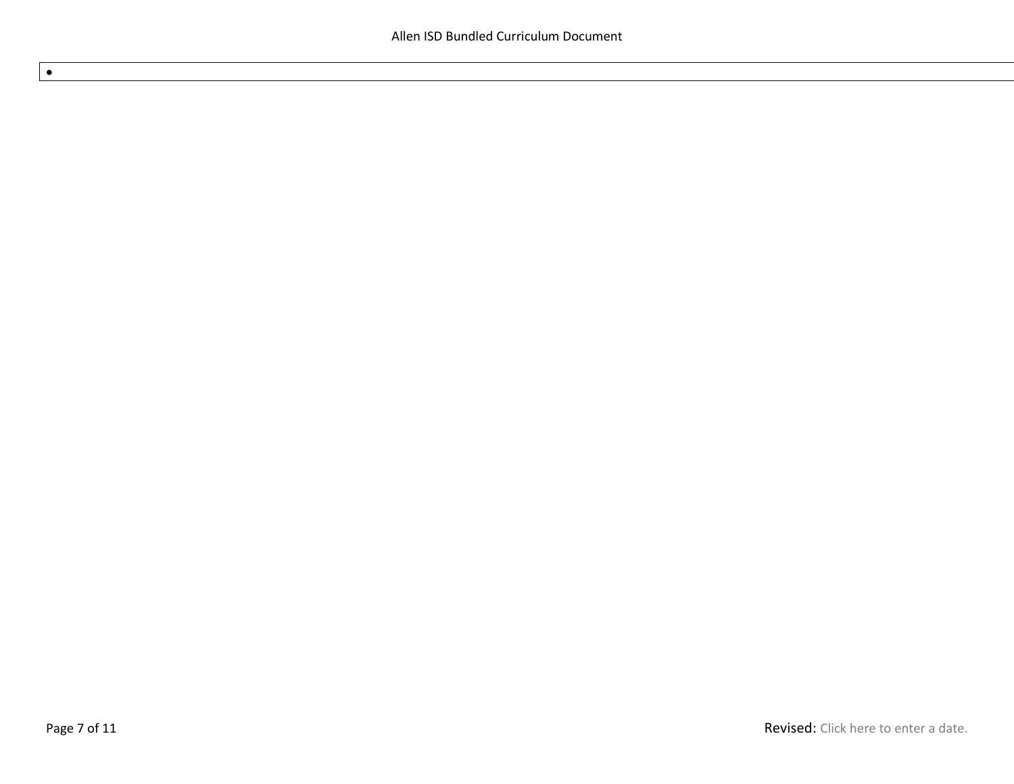

 $\bullet$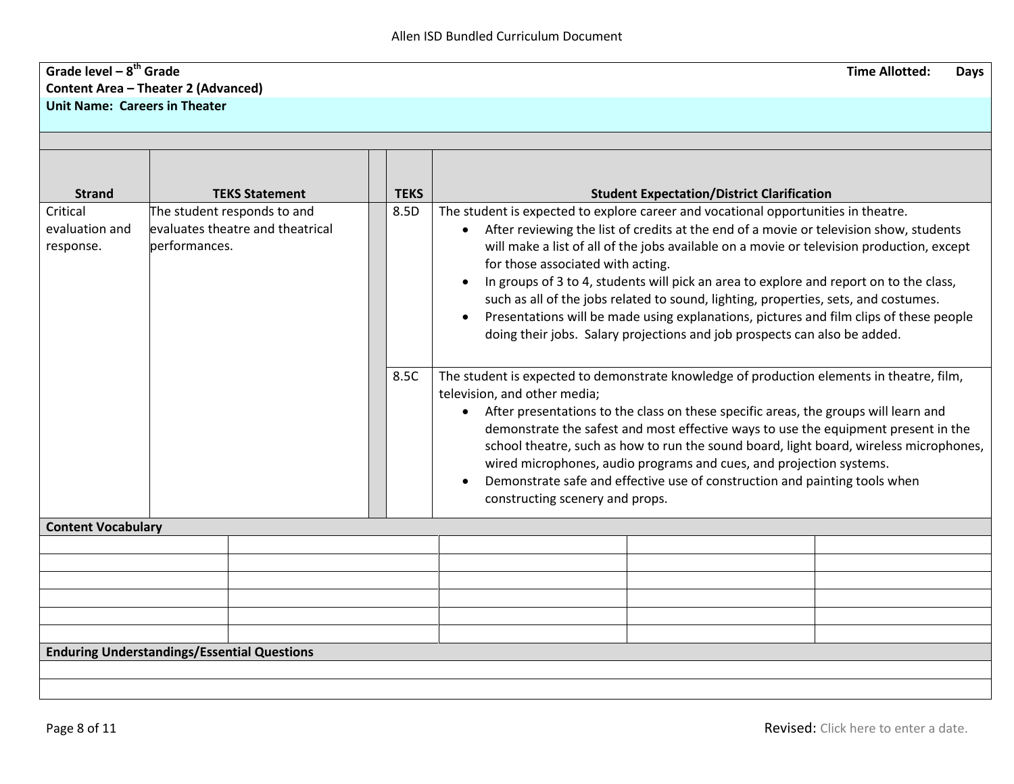### Grade level –  $8^{th}$  Grade **th Grade Time Allotted: Days Content Area – Theater 2 (Advanced) Unit Name: Careers in Theater**

| <b>Strand</b>                                      |                                                                                          | <b>TEKS Statement</b> | <b>TEKS</b> | <b>Student Expectation/District Clarification</b>                                                                                                                                                                                                                                                                                                                                                                                                                                                                                                                                                                                                                      |  |  |  |
|----------------------------------------------------|------------------------------------------------------------------------------------------|-----------------------|-------------|------------------------------------------------------------------------------------------------------------------------------------------------------------------------------------------------------------------------------------------------------------------------------------------------------------------------------------------------------------------------------------------------------------------------------------------------------------------------------------------------------------------------------------------------------------------------------------------------------------------------------------------------------------------------|--|--|--|
| Critical<br>evaluation and<br>response.            | The student responds to and<br>8.5D<br>evaluates theatre and theatrical<br>performances. |                       |             | The student is expected to explore career and vocational opportunities in theatre.<br>After reviewing the list of credits at the end of a movie or television show, students<br>will make a list of all of the jobs available on a movie or television production, except<br>for those associated with acting.<br>In groups of 3 to 4, students will pick an area to explore and report on to the class,<br>such as all of the jobs related to sound, lighting, properties, sets, and costumes.<br>Presentations will be made using explanations, pictures and film clips of these people<br>doing their jobs. Salary projections and job prospects can also be added. |  |  |  |
|                                                    |                                                                                          | 8.5C                  |             | The student is expected to demonstrate knowledge of production elements in theatre, film,<br>television, and other media;<br>After presentations to the class on these specific areas, the groups will learn and<br>$\bullet$<br>demonstrate the safest and most effective ways to use the equipment present in the<br>school theatre, such as how to run the sound board, light board, wireless microphones,<br>wired microphones, audio programs and cues, and projection systems.<br>Demonstrate safe and effective use of construction and painting tools when<br>constructing scenery and props.                                                                  |  |  |  |
| <b>Content Vocabulary</b>                          |                                                                                          |                       |             |                                                                                                                                                                                                                                                                                                                                                                                                                                                                                                                                                                                                                                                                        |  |  |  |
|                                                    |                                                                                          |                       |             |                                                                                                                                                                                                                                                                                                                                                                                                                                                                                                                                                                                                                                                                        |  |  |  |
|                                                    |                                                                                          |                       |             |                                                                                                                                                                                                                                                                                                                                                                                                                                                                                                                                                                                                                                                                        |  |  |  |
|                                                    |                                                                                          |                       |             |                                                                                                                                                                                                                                                                                                                                                                                                                                                                                                                                                                                                                                                                        |  |  |  |
|                                                    |                                                                                          |                       |             |                                                                                                                                                                                                                                                                                                                                                                                                                                                                                                                                                                                                                                                                        |  |  |  |
|                                                    |                                                                                          |                       |             |                                                                                                                                                                                                                                                                                                                                                                                                                                                                                                                                                                                                                                                                        |  |  |  |
| <b>Enduring Understandings/Essential Questions</b> |                                                                                          |                       |             |                                                                                                                                                                                                                                                                                                                                                                                                                                                                                                                                                                                                                                                                        |  |  |  |
|                                                    |                                                                                          |                       |             |                                                                                                                                                                                                                                                                                                                                                                                                                                                                                                                                                                                                                                                                        |  |  |  |
|                                                    |                                                                                          |                       |             |                                                                                                                                                                                                                                                                                                                                                                                                                                                                                                                                                                                                                                                                        |  |  |  |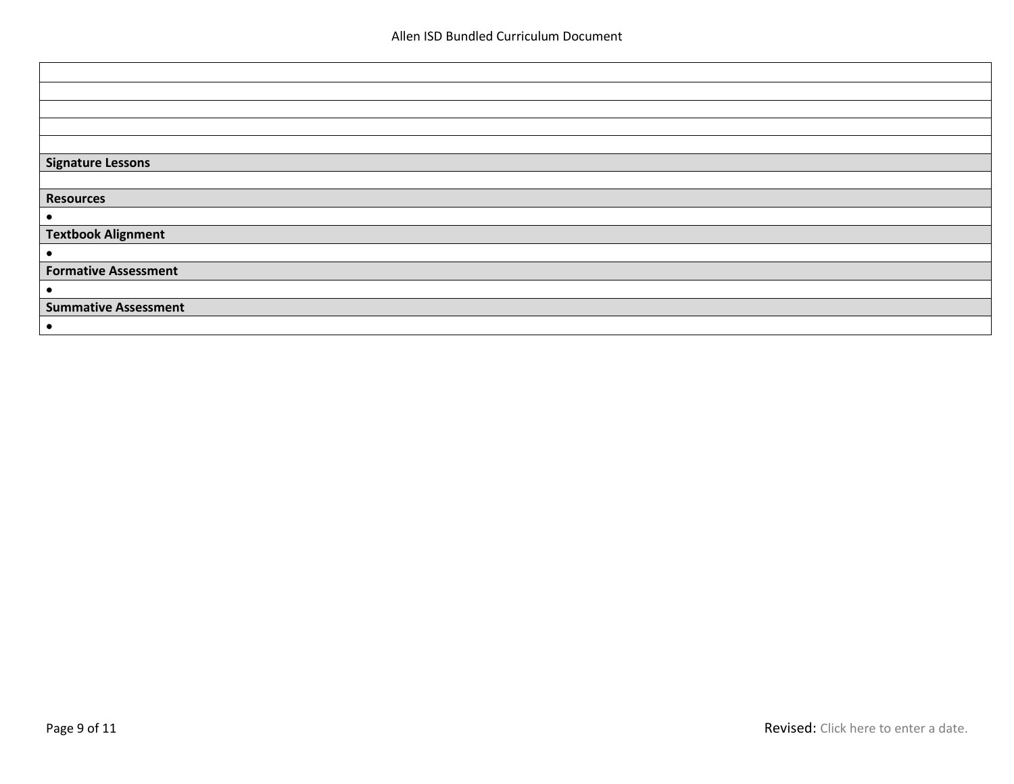| <b>Signature Lessons</b>    |
|-----------------------------|
|                             |
| <b>Resources</b>            |
|                             |
| <b>Textbook Alignment</b>   |
|                             |
| <b>Formative Assessment</b> |
|                             |
| <b>Summative Assessment</b> |
|                             |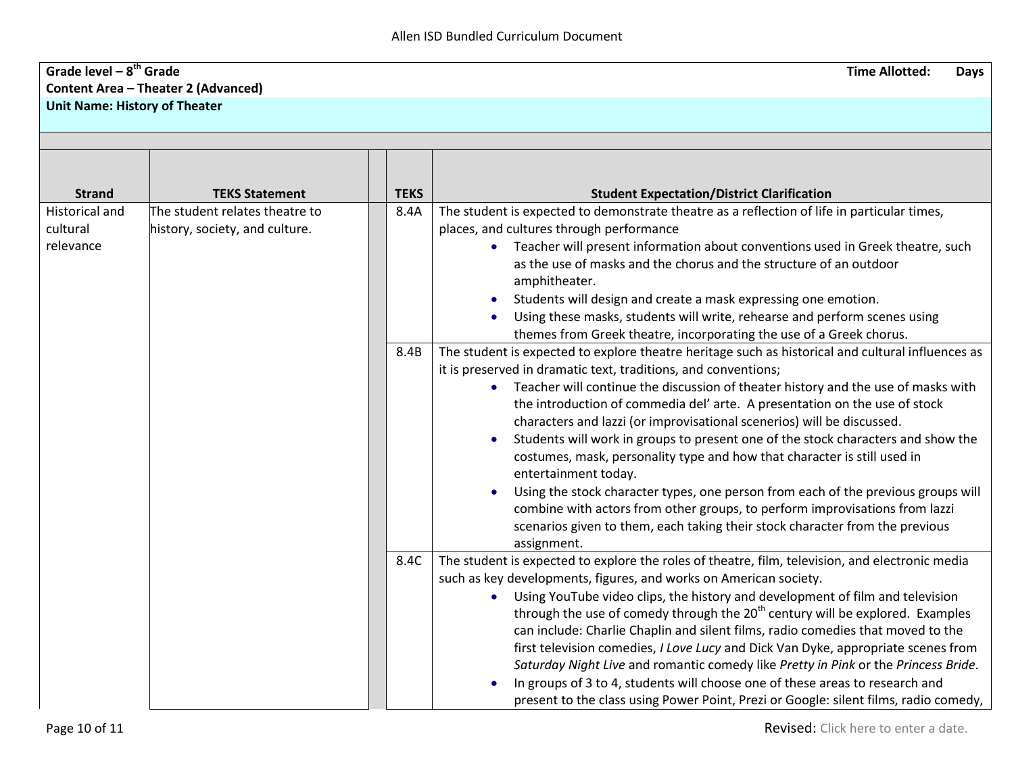## Grade level –  $8^{th}$  Grade **th Grade Time Allotted: Days Content Area – Theater 2 (Advanced) Unit Name: History of Theater**

| <b>Strand</b>         | <b>TEKS Statement</b>          | <b>TEKS</b> | <b>Student Expectation/District Clarification</b>                                                                                                                                                                                         |
|-----------------------|--------------------------------|-------------|-------------------------------------------------------------------------------------------------------------------------------------------------------------------------------------------------------------------------------------------|
| <b>Historical and</b> | The student relates theatre to | 8.4A        | The student is expected to demonstrate theatre as a reflection of life in particular times,                                                                                                                                               |
| cultural              | history, society, and culture. |             | places, and cultures through performance                                                                                                                                                                                                  |
| relevance             |                                |             | Teacher will present information about conventions used in Greek theatre, such                                                                                                                                                            |
|                       |                                |             | as the use of masks and the chorus and the structure of an outdoor<br>amphitheater.                                                                                                                                                       |
|                       |                                |             | Students will design and create a mask expressing one emotion.<br>$\bullet$                                                                                                                                                               |
|                       |                                |             | Using these masks, students will write, rehearse and perform scenes using<br>themes from Greek theatre, incorporating the use of a Greek chorus.                                                                                          |
|                       |                                | 8.4B        | The student is expected to explore theatre heritage such as historical and cultural influences as<br>it is preserved in dramatic text, traditions, and conventions;                                                                       |
|                       |                                |             | Teacher will continue the discussion of theater history and the use of masks with<br>the introduction of commedia del' arte. A presentation on the use of stock<br>characters and lazzi (or improvisational scenerios) will be discussed. |
|                       |                                |             | Students will work in groups to present one of the stock characters and show the<br>costumes, mask, personality type and how that character is still used in<br>entertainment today.                                                      |
|                       |                                |             | Using the stock character types, one person from each of the previous groups will<br>combine with actors from other groups, to perform improvisations from lazzi                                                                          |
|                       |                                |             | scenarios given to them, each taking their stock character from the previous                                                                                                                                                              |
|                       |                                |             | assignment.                                                                                                                                                                                                                               |
|                       |                                | 8.4C        | The student is expected to explore the roles of theatre, film, television, and electronic media<br>such as key developments, figures, and works on American society.                                                                      |
|                       |                                |             | Using YouTube video clips, the history and development of film and television                                                                                                                                                             |
|                       |                                |             | through the use of comedy through the 20 <sup>th</sup> century will be explored. Examples                                                                                                                                                 |
|                       |                                |             | can include: Charlie Chaplin and silent films, radio comedies that moved to the                                                                                                                                                           |
|                       |                                |             | first television comedies, I Love Lucy and Dick Van Dyke, appropriate scenes from                                                                                                                                                         |
|                       |                                |             | Saturday Night Live and romantic comedy like Pretty in Pink or the Princess Bride.                                                                                                                                                        |
|                       |                                |             | In groups of 3 to 4, students will choose one of these areas to research and                                                                                                                                                              |
|                       |                                |             | present to the class using Power Point, Prezi or Google: silent films, radio comedy,                                                                                                                                                      |